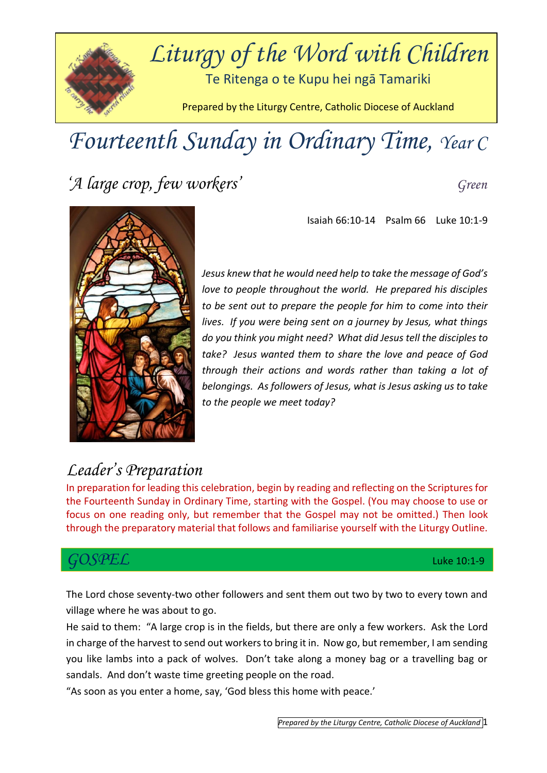

# *Fourteenth Sunday in Ordinary Time, Year C*

*'A large crop, few workers' Green*

Isaiah 66:10-14 Psalm 66 Luke 10:1-9



*Jesus knew that he would need help to take the message of God's love to people throughout the world. He prepared his disciples to be sent out to prepare the people for him to come into their lives. If you were being sent on a journey by Jesus, what things do you think you might need? What did Jesus tell the disciples to take? Jesus wanted them to share the love and peace of God through their actions and words rather than taking a lot of belongings. As followers of Jesus, what is Jesus asking us to take to the people we meet today?*

### *Leader's Preparation*

In preparation for leading this celebration, begin by reading and reflecting on the Scriptures for the Fourteenth Sunday in Ordinary Time, starting with the Gospel. (You may choose to use or focus on one reading only, but remember that the Gospel may not be omitted.) Then look through the preparatory material that follows and familiarise yourself with the Liturgy Outline.

### *GOSPEL* Luke 10:1-9

The Lord chose seventy-two other followers and sent them out two by two to every town and village where he was about to go.

He said to them: "A large crop is in the fields, but there are only a few workers. Ask the Lord in charge of the harvest to send out workers to bring it in. Now go, but remember, I am sending you like lambs into a pack of wolves. Don't take along a money bag or a travelling bag or sandals. And don't waste time greeting people on the road.

"As soon as you enter a home, say, 'God bless this home with peace.'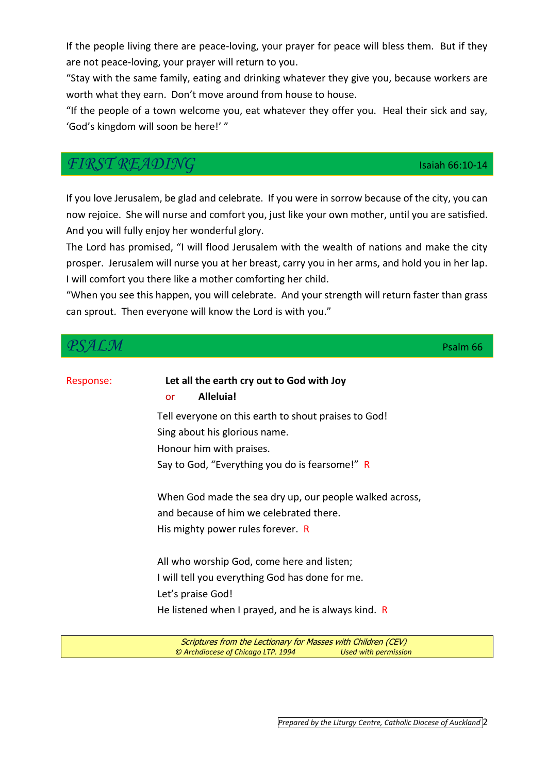*Prepared by the Liturgy Centre, Catholic Diocese of Auckland* 2

If the people living there are peace-loving, your prayer for peace will bless them. But if they are not peace-loving, your prayer will return to you.

"Stay with the same family, eating and drinking whatever they give you, because workers are worth what they earn. Don't move around from house to house.

"If the people of a town welcome you, eat whatever they offer you. Heal their sick and say, 'God's kingdom will soon be here!' "

### *FIRST READING* Isaiah 66:10-14

If you love Jerusalem, be glad and celebrate. If you were in sorrow because of the city, you can now rejoice. She will nurse and comfort you, just like your own mother, until you are satisfied. And you will fully enjoy her wonderful glory.

The Lord has promised, "I will flood Jerusalem with the wealth of nations and make the city prosper. Jerusalem will nurse you at her breast, carry you in her arms, and hold you in her lap. I will comfort you there like a mother comforting her child.

"When you see this happen, you will celebrate. And your strength will return faster than grass can sprout. Then everyone will know the Lord is with you."

| $\mathcal{L}\mathcal{M}$ |                                                                                                                                         | Psalm 66 |
|--------------------------|-----------------------------------------------------------------------------------------------------------------------------------------|----------|
| Response:                | Let all the earth cry out to God with Joy<br>Alleluia!<br><b>or</b>                                                                     |          |
|                          | Tell everyone on this earth to shout praises to God!                                                                                    |          |
|                          | Sing about his glorious name.                                                                                                           |          |
|                          | Honour him with praises.                                                                                                                |          |
|                          | Say to God, "Everything you do is fearsome!" R                                                                                          |          |
|                          | When God made the sea dry up, our people walked across,<br>and because of him we celebrated there.<br>His mighty power rules forever. R |          |
|                          | All who worship God, come here and listen;                                                                                              |          |
|                          | I will tell you everything God has done for me.                                                                                         |          |
|                          | Let's praise God!                                                                                                                       |          |
|                          | He listened when I prayed, and he is always kind. $R$                                                                                   |          |
|                          | $\mathbf{r} \cdot \mathbf{r} = \mathbf{r} \cdot \mathbf{r} \cdot \mathbf{r} \cdot \mathbf{r}$<br>$\sim$                                 |          |

Scriptures from the Lectionary for Masses with Children (CEV) *© Archdiocese of Chicago LTP. 1994 Used with permission*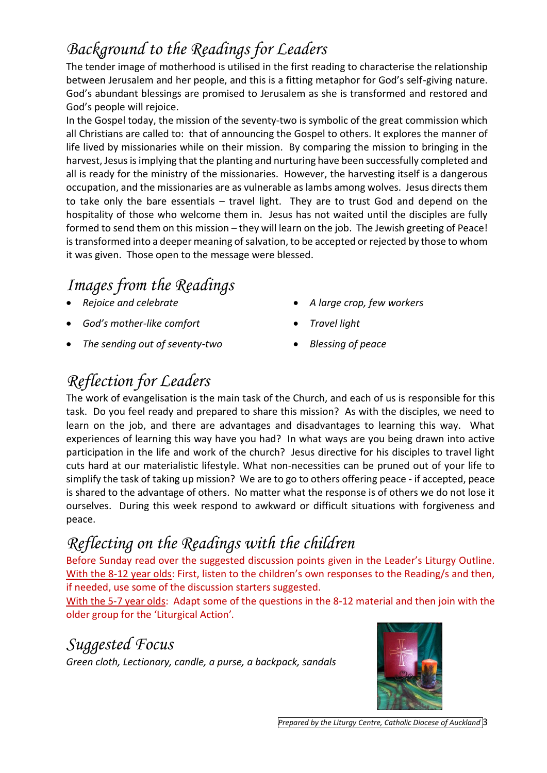### *Background to the Readings for Leaders*

The tender image of motherhood is utilised in the first reading to characterise the relationship between Jerusalem and her people, and this is a fitting metaphor for God's self-giving nature. God's abundant blessings are promised to Jerusalem as she is transformed and restored and God's people will rejoice.

In the Gospel today, the mission of the seventy-two is symbolic of the great commission which all Christians are called to: that of announcing the Gospel to others. It explores the manner of life lived by missionaries while on their mission. By comparing the mission to bringing in the harvest, Jesus is implying that the planting and nurturing have been successfully completed and all is ready for the ministry of the missionaries. However, the harvesting itself is a dangerous occupation, and the missionaries are as vulnerable as lambs among wolves. Jesus directs them to take only the bare essentials – travel light. They are to trust God and depend on the hospitality of those who welcome them in. Jesus has not waited until the disciples are fully formed to send them on this mission – they will learn on the job. The Jewish greeting of Peace! is transformed into a deeper meaning of salvation, to be accepted or rejected by those to whom it was given. Those open to the message were blessed.

## *Images from the Readings*

- *Rejoice and celebrate*
- *God's mother-like comfort*
- *The sending out of seventy-two*
- *A large crop, few workers*
- *Travel light*
- *Blessing of peace*

# *Reflection for Leaders*

The work of evangelisation is the main task of the Church, and each of us is responsible for this task. Do you feel ready and prepared to share this mission? As with the disciples, we need to learn on the job, and there are advantages and disadvantages to learning this way. What experiences of learning this way have you had? In what ways are you being drawn into active participation in the life and work of the church? Jesus directive for his disciples to travel light cuts hard at our materialistic lifestyle. What non-necessities can be pruned out of your life to simplify the task of taking up mission? We are to go to others offering peace - if accepted, peace is shared to the advantage of others. No matter what the response is of others we do not lose it ourselves. During this week respond to awkward or difficult situations with forgiveness and peace.

# *Reflecting on the Readings with the children*

Before Sunday read over the suggested discussion points given in the Leader's Liturgy Outline. With the 8-12 year olds: First, listen to the children's own responses to the Reading/s and then, if needed, use some of the discussion starters suggested.

With the 5-7 year olds: Adapt some of the questions in the 8-12 material and then join with the older group for the 'Liturgical Action'*.* 

### *Suggested Focus*

*Green cloth, Lectionary, candle, a purse, a backpack, sandals*

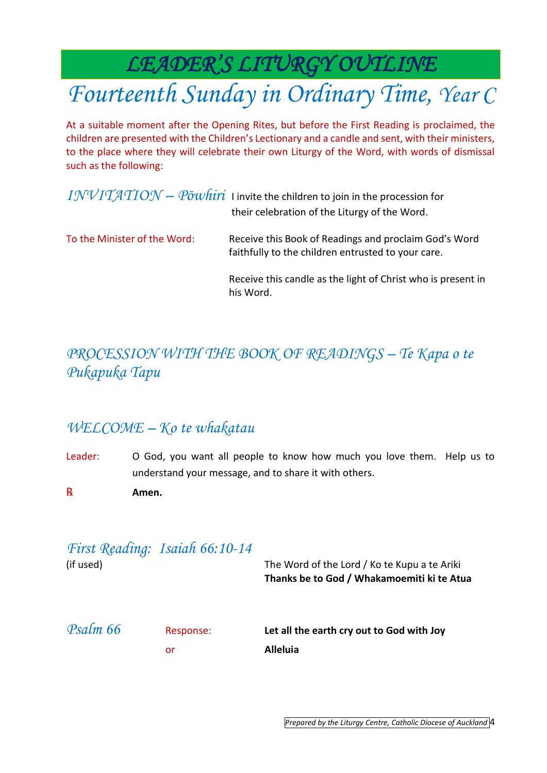*LEADER'S LITURGY OUTLINE* 

# *Fourteenth Sunday in Ordinary Time, Year C*

At a suitable moment after the Opening Rites, but before the First Reading is proclaimed, the children are presented with the Children's Lectionary and a candle and sent, with their ministers, to the place where they will celebrate their own Liturgy of the Word, with words of dismissal such as the following:

|                              | $INVITATION - P\overline{o}whiri$ I invite the children to join in the procession for<br>their celebration of the Liturgy of the Word. |
|------------------------------|----------------------------------------------------------------------------------------------------------------------------------------|
| To the Minister of the Word: | Receive this Book of Readings and proclaim God's Word<br>faithfully to the children entrusted to your care.                            |
|                              | Receive this candle as the light of Christ who is present in<br>his Word.                                                              |

### *PROCESSION WITH THE BOOK OF READINGS – Te Kapa o te Pukapuka Tapu*

### *WELCOME – Ko te whakatau*

- Leader: O God, you want all people to know how much you love them. Help us to understand your message, and to share it with others.
- ℞ **Amen.**

| (if used) | First Reading: Isaiah 66:10-14 | The Word of the Lord / Ko te Kupu a te Ariki<br>Thanks be to God / Whakamoemiti ki te Atua |
|-----------|--------------------------------|--------------------------------------------------------------------------------------------|
| Psalm 66  | Response:<br>or                | Let all the earth cry out to God with Joy<br>Alleluia                                      |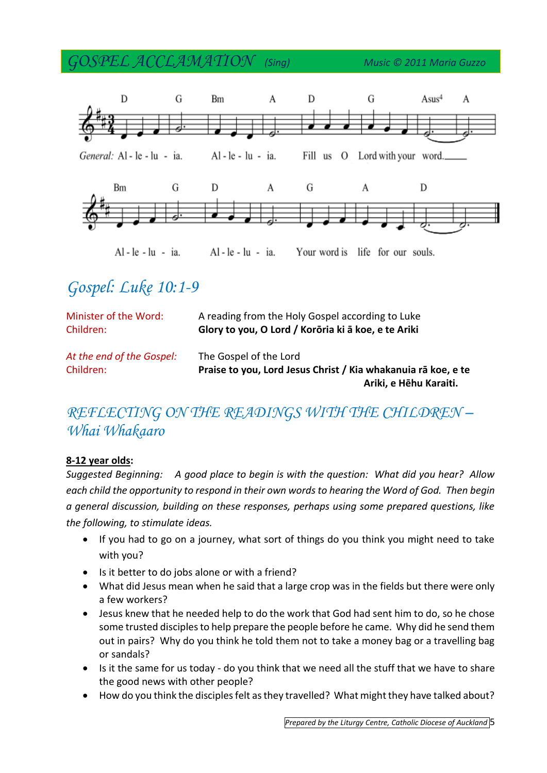*GOSPEL ACCLAMATION (Sing) Music © 2011 Maria Guzzo*



# *Gospel: Luke 10:1-9*

| Minister of the Word:<br>Children: | A reading from the Holy Gospel according to Luke<br>Glory to you, O Lord / Korōria ki ā koe, e te Ariki |  |
|------------------------------------|---------------------------------------------------------------------------------------------------------|--|
| At the end of the Gospel:          | The Gospel of the Lord                                                                                  |  |
| Children:                          | Praise to you, Lord Jesus Christ / Kia whakanuja rā koe, e te                                           |  |
|                                    | Ariki, e Hēhu Karaiti.                                                                                  |  |

### *REFLECTING ON THE READINGS WITH THE CHILDREN – Whai Whakaaro*

#### **8-12 year olds:**

*Suggested Beginning: A good place to begin is with the question: What did you hear? Allow each child the opportunity to respond in their own words to hearing the Word of God. Then begin a general discussion, building on these responses, perhaps using some prepared questions, like the following, to stimulate ideas.*

- If you had to go on a journey, what sort of things do you think you might need to take with you?
- Is it better to do jobs alone or with a friend?
- What did Jesus mean when he said that a large crop was in the fields but there were only a few workers?
- Jesus knew that he needed help to do the work that God had sent him to do, so he chose some trusted disciples to help prepare the people before he came. Why did he send them out in pairs? Why do you think he told them not to take a money bag or a travelling bag or sandals?
- Is it the same for us today do you think that we need all the stuff that we have to share the good news with other people?
- How do you think the disciples felt as they travelled? What might they have talked about?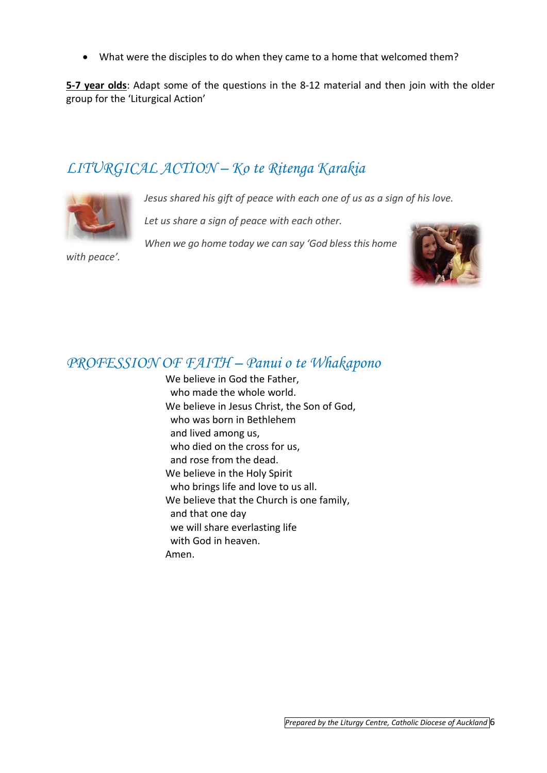What were the disciples to do when they came to a home that welcomed them?

**5-7 year olds**: Adapt some of the questions in the 8-12 material and then join with the older group for the 'Liturgical Action'

### *LITURGICAL ACTION – Ko te Ritenga Karakia*



*Jesus shared his gift of peace with each one of us as a sign of his love.* 

*Let us share a sign of peace with each other.* 

*When we go home today we can say 'God bless this home* 





### *PROFESSION OF FAITH – Panui o te Whakapono*

We believe in God the Father. who made the whole world. We believe in Jesus Christ, the Son of God, who was born in Bethlehem and lived among us, who died on the cross for us, and rose from the dead. We believe in the Holy Spirit who brings life and love to us all. We believe that the Church is one family, and that one day we will share everlasting life with God in heaven. Amen.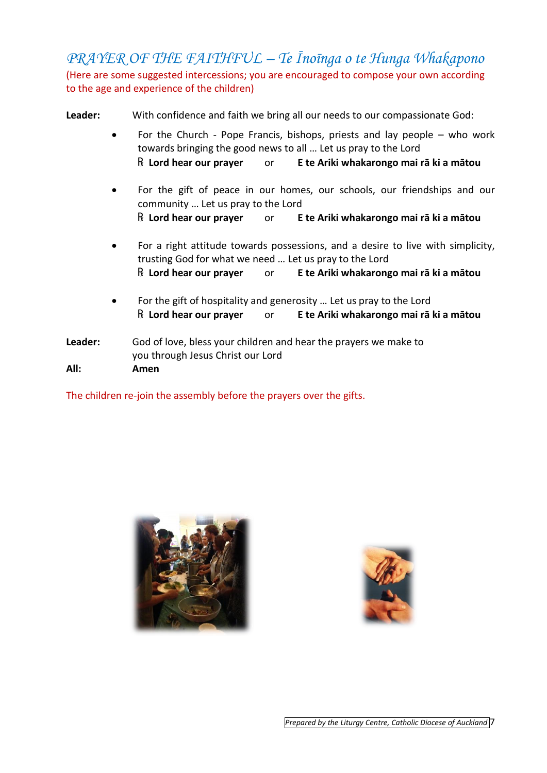*PRAYER OF THE FAITHFUL – Te Īnoīnga o te Hunga Whakapono* (Here are some suggested intercessions; you are encouraged to compose your own according to the age and experience of the children)

**Leader:** With confidence and faith we bring all our needs to our compassionate God:

- For the Church Pope Francis, bishops, priests and lay people who work towards bringing the good news to all … Let us pray to the Lord ℞ **Lord hear our prayer** or **E te Ariki whakarongo mai rā ki a mātou**
- For the gift of peace in our homes, our schools, our friendships and our community … Let us pray to the Lord ℞ **Lord hear our prayer** or **E te Ariki whakarongo mai rā ki a mātou**
- For a right attitude towards possessions, and a desire to live with simplicity, trusting God for what we need … Let us pray to the Lord ℞ **Lord hear our prayer** or **E te Ariki whakarongo mai rā ki a mātou**
- For the gift of hospitality and generosity … Let us pray to the Lord ℞ **Lord hear our prayer** or **E te Ariki whakarongo mai rā ki a mātou**
- **Leader:** God of love, bless your children and hear the prayers we make to you through Jesus Christ our Lord **All: Amen**

The children re-join the assembly before the prayers over the gifts.





*Prepared by the Liturgy Centre, Catholic Diocese of Auckland* 7